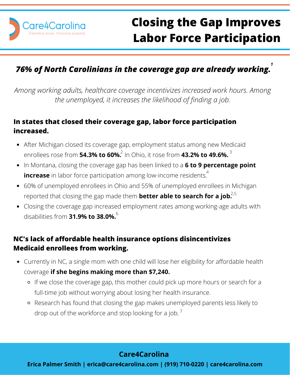

# **Closing the Gap Improves Labor Force Participation**

## *1 76% of North Carolinians in the coverage gap are already working.*

*Among working adults, healthcare coverage incentivizes increased work hours. Among the unemployed, it increases the likelihood of finding a job.*

#### **In states that closed their coverage gap, labor force participation increased.**

- After Michigan closed its coverage gap, employment status among new Medicaid enrollees rose from **54.3% to 60%.** In Ohio, it rose from **43.2% to 49.6%.** 2 3
- In Montana, closing the coverage gap has been linked to a **6 to 9 percentage point increase** in labor force participation among low-income residents.<sup>4</sup>
- 60% of unemployed enrollees in Ohio and 55% of unemployed enrollees in Michigan reported that closing the gap made them **better able to search for a job.** 2,5
- Closing the coverage gap increased employment rates among working-age adults with disabilities from **31.9% to 38.0%.** 6

### **NC's lack of affordable health insurance options disincentivizes Medicaid enrollees from working.**

- Currently in NC, a single mom with one child will lose her eligibility for affordable health coverage **if she begins making more than \$7,240.**
	- If we close the coverage gap, this mother could pick up more hours or search for a full-time job without worrying about losing her health insurance.
	- Research has found that closing the gap makes unemployed parents less likely to drop out of the workforce and stop looking for a job.<sup>7</sup>

### **Care4Carolina**

**Erica Palmer Smith | erica@care4carolina.com | (919) 710-0220 | care4carolina.com**